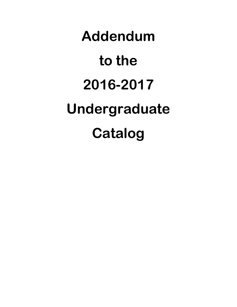# **Addendum to the 2016-2017 Undergraduate Catalog**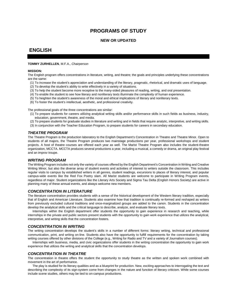# **PROGRAMS OF STUDY**

## **NEW OR UPDATED**

# **ENGLISH**

#### **TOMMY ZURHELLEN**, M.F.A., *Chairperson*

#### **MISSION:**

The English program offers concentrations in literature, writing, and theatre; the goals and principles underlying these concentrations are the same:

- (1) To increase the student's appreciation and understanding of the literary, pragmatic, rhetorical, and dramatic uses of language.
- (2) To develop the student's ability to write effectively in a variety of situations.
- (3) To help the student become more receptive to the many-sided pleasures of reading, writing, and oral presentation.
- (4) To enable the student to see how literary and nonliterary texts illuminate the complexity of human experience.
- (5) To heighten the student's awareness of the moral and ethical implications of literary and nonliterary texts.
- (6) To foster the student's intellectual, aesthetic, and professional creativity.

The professional goals of the three concentrations are similar:

- (1) To prepare students for careers utilizing analytical writing skills and/or performance skills in such fields as business, industry, education, government, theatre, and media.
- (2) To prepare students for graduate studies in literature and writing and in fields that require analytic, interpretive, and writing skills.
- (3) In conjunction with the Teacher Education Program, to prepare students for careers in secondary education.

#### *THEATRE PROGRAM*

The Theatre Program is the production laboratory to the English Department's Concentration in Theatre and Theatre Minor. Open to students of all majors, the Theatre Program produces two mainstage productions per year, professional workshops and student projects. A host of theatre courses are offered each year as well. The Marist Theatre Program also includes the student-theatre organization, MCCTA. MCCTA produces several productions a year, including a musical, a comedy or drama, an original play festival and an improv troupe.

#### *WRITING PROGRAM*

The Writing Program includes not only the variety of courses offered by the English Department's Concentration in Writing and Creative Writing Minor, but also the diverse array of student events and activities of interest to writers outside the classroom. This includes regular visits to campus by established writers in all genres, student readings, excursions to places of literary interest, and popular campus-wide events like the Red Fox Poetry slam. All Marist students are welcome to participate in Writing Program events, regardless of major. Student organizations like the Literary Arts Society and Sigma Tau Delta (English Honors Society) are active in planning many of these annual events, and always welcome new members.

#### *CONCENTRATION IN LITERATURE*

The literature concentration provides students with a sense of the historical development of the Western literary tradition, especially that of English and American Literature. Students also examine how that tradition is continually re-formed and reshaped as writers from previously excluded cultural traditions and once-marginalized groups are added to the canon. Students in the concentration develop the analytical skills and the critical language to describe, analyze, and evaluate literary texts.

Internships within the English department offer students the opportunity to gain experience in research and teaching, while internships in the private and public sectors present students with the opportunity to gain work experience that utilizes the analytical, interpretive, and writing skills that the concentration fosters.

#### *CONCENTRATION IN WRITING*

The writing concentration develops the student's skills in a number of different forms: literary writing, technical and professional communication, print, and writing on-line. Students also have the opportunity to fulfill requirements for the concentration by taking writing courses offered by other divisions of the College (e.g., Writing for Radio and TV and a variety of Journalism courses).

Internships with business, media, and civic organizations offer students in the writing concentration the opportunity to gain work experience that utilizes the writing and analytical skills that the concentration develops.

#### *CONCENTRATION IN THEATRE*

The concentration in theatre offers the student the opportunity to study theatre as the written and spoken work combined with movement in the art of performance.

The play is studied for its literary qualities and as a blueprint for production. New, exciting approaches to interrogating the text and describing the complexity of its sign-system come from changes in the nature and function of literary criticism. While some courses include scene studies, others may be tied to on-campus productions.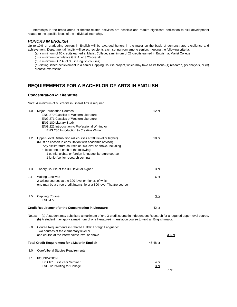Internships in the broad arena of theatre-related activities are possible and require significant dedication to skill development related to the specific focus of the individual internship.

#### *HONORS IN ENGLISH*

Up to 10% of graduating seniors in English will be awarded honors in the major on the basis of demonstrated excellence and achievement. Departmental faculty will select recipients each spring from among seniors meeting the following criteria:

(a) a minimum of 60 credits earned at Marist College; a minimum of 27 credits earned in English at Marist College;

(b) a minimum cumulative G.P.A. of 3.25 overall;

(c) a minimum G.P.A. of 3.5 in English courses;

(d) distinguished achievement in a senior Capping Course project, which may take as its focus (1) research, (2) analysis, or (3) creative expression.

# **REQUIREMENTS FOR A BACHELOR OF ARTS IN ENGLISH**

#### *Concentration in Literature*

Note: A minimum of 60 credits in Liberal Arts is required.

| 1.0    | <b>Major Foundation Courses:</b><br><b>ENG 270 Classics of Western Literature I</b><br><b>ENG 271 Classics of Western Literature II</b><br><b>ENG 180 Literary Study</b><br>ENG 222 Introduction to Professional Writing or<br>ENG 280 Introduction to Creative Writing                                                         | 12 <sub>cr</sub>                |
|--------|---------------------------------------------------------------------------------------------------------------------------------------------------------------------------------------------------------------------------------------------------------------------------------------------------------------------------------|---------------------------------|
| 1.2    | Upper-Level Distribution (all courses at 300 level or higher)<br>(Must be chosen in consultation with academic advisor)<br>Any six literature courses of 300-level or above, including<br>at least one of each of the following:<br>1 ethnic, global, or foreign language literature course<br>1 junior/senior research seminar | 18 <sub>cr</sub>                |
| 1.3    | Theory Course at the 300 level or higher                                                                                                                                                                                                                                                                                        | 3 <sub>cr</sub>                 |
| 1.4    | <b>Writing Electives</b><br>2 writing courses at the 300 level or higher, of which<br>one may be a three-credit internship or a 300 level Theatre course                                                                                                                                                                        | 6 cr                            |
| 1.5    | Capping Course<br><b>ENG 477</b>                                                                                                                                                                                                                                                                                                | 3 <sub>cr</sub>                 |
|        | <b>Credit Requirement for the Concentration in Literature</b>                                                                                                                                                                                                                                                                   | 42 cr                           |
| Notes: | (a) A student may substitute a maximum of one 3-credit course in Independent Research for a required upper-level course.<br>(b) A student may apply a maximum of one literature-in-translation course toward an English major.                                                                                                  |                                 |
| 2.0    | Course Requirements in Related Fields: Foreign Language:<br>Two courses at the elementary level or<br>one course at the intermediate level or above                                                                                                                                                                             | <u>3-6 cr</u>                   |
|        | <b>Total Credit Requirement for a Major in English</b>                                                                                                                                                                                                                                                                          | 45-48 cr                        |
| 3.0    | Core/Liberal Studies Requirements                                                                                                                                                                                                                                                                                               |                                 |
| 3.1    | <b>FOUNDATION</b><br>FYS 101 First Year Seminar<br><b>ENG 120 Writing for College</b>                                                                                                                                                                                                                                           | 4 cr<br>3 <sub>cr</sub><br>7 cr |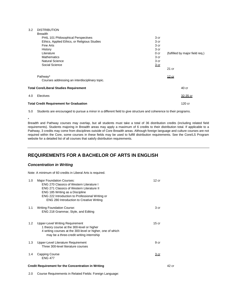#### 3.2 DISTRIBUTION

| <b>Breadth</b>                                 |                 |                                 |
|------------------------------------------------|-----------------|---------------------------------|
| PHIL 101 Philosophical Perspectives            | 3 cr            |                                 |
| Ethics, Applied Ethics, or Religious Studies   | 3 cr            |                                 |
| Fine Arts                                      | 3 cr            |                                 |
| History                                        | 3 cr            |                                 |
| Literature                                     | 0 <sub>cr</sub> | (fulfilled by major field req.) |
| <b>Mathematics</b>                             | 3 cr            |                                 |
| <b>Natural Science</b>                         | 3 cr            |                                 |
| Social Science                                 | 3 <sub>cr</sub> |                                 |
|                                                |                 | $21$ cr                         |
| Pathway*                                       |                 | 12 cr                           |
| Courses addressing an interdisciplinary topic. |                 |                                 |
| <b>Total Core/Liberal Studies Requirement</b>  |                 | 40 cr                           |
| Electives<br>4.0                               |                 | 32-35 cr                        |
| <b>Total Credit Requirement for Graduation</b> |                 | 120 cr                          |
|                                                |                 |                                 |

5.0 Students are encouraged to pursue a minor in a different field to give structure and coherence to their programs.

\*

Breadth and Pathway courses may overlap, but all students must take a total of 36 distribution credits (including related field requirements). Students majoring in Breadth areas may apply a maximum of 6 credits to their distribution total. If applicable to a Pathway, 3 credits may come from disciplines outside of Core Breadth areas. Although foreign language and culture courses are not required within the Core, some courses in these fields may be used to fulfill distribution requirements. See the Core/LS Program website for a detailed list of all courses that satisfy distribution requirements.

## **REQUIREMENTS FOR A BACHELOR OF ARTS IN ENGLISH**

#### *Concentration in Writing*

Note: A minimum of 60 credits in Liberal Arts is required.

| 1.0 | <b>Major Foundation Courses:</b><br><b>ENG 270 Classics of Western Literature I</b><br><b>ENG 271 Classics of Western Literature II</b><br>ENG 185 Writing as a Discipline<br>ENG 222 Introduction to Professional Writing or<br><b>ENG 280 Introduction to Creative Writing</b> | 12 cr            |       |
|-----|----------------------------------------------------------------------------------------------------------------------------------------------------------------------------------------------------------------------------------------------------------------------------------|------------------|-------|
| 1.1 | <b>Writing Foundation Course:</b><br>ENG 218 Grammar, Style, and Editing                                                                                                                                                                                                         | 3 cr             |       |
| 1.2 | Upper-Level Writing Requirement<br>1 theory course at the 300-level or higher<br>4 writing courses at the 300-level or higher, one of which<br>may be a three-credit writing internship                                                                                          | 15 <sub>cr</sub> |       |
| 1.3 | Upper-Level Literature Requirement<br>Three 300-level literature courses                                                                                                                                                                                                         | 9 cr             |       |
| 1.4 | Capping Course<br><b>ENG 477</b>                                                                                                                                                                                                                                                 | <u>3 cr</u>      |       |
|     | <b>Credit Requirement for the Concentration in Writing</b>                                                                                                                                                                                                                       |                  | 42 cr |

2.0 Course Requirements in Related Fields: Foreign Language: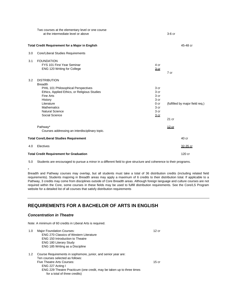|     | Two courses at the elementary level or one course<br>at the intermediate level or above |                 | $3-6$ cr                        |
|-----|-----------------------------------------------------------------------------------------|-----------------|---------------------------------|
|     | <b>Total Credit Requirement for a Major in English</b>                                  |                 | 45-48 cr                        |
| 3.0 | Core/Liberal Studies Requirements                                                       |                 |                                 |
| 3.1 | <b>FOUNDATION</b>                                                                       |                 |                                 |
|     | FYS 101 First Year Seminar                                                              | 4 cr            |                                 |
|     | ENG 120 Writing for College                                                             | 3 <sub>cr</sub> | 7 cr                            |
|     |                                                                                         |                 |                                 |
| 3.2 | <b>DISTRIBUTION</b>                                                                     |                 |                                 |
|     | <b>Breadth</b>                                                                          |                 |                                 |
|     | PHIL 101 Philosophical Perspectives                                                     | 3 cr            |                                 |
|     | Ethics, Applied Ethics, or Religious Studies                                            | 3 cr            |                                 |
|     | Fine Arts                                                                               | 3 cr            |                                 |
|     | History                                                                                 | 3 cr            |                                 |
|     | Literature                                                                              | 0 <sub>cr</sub> | (fulfilled by major field req.) |
|     | <b>Mathematics</b>                                                                      | 3 cr            |                                 |
|     | <b>Natural Science</b>                                                                  | 3 cr            |                                 |
|     | Social Science                                                                          | 3 <sub>cr</sub> |                                 |
|     |                                                                                         |                 | $21$ cr                         |
|     | Pathway*                                                                                |                 | 12 cr                           |
|     | Courses addressing an interdisciplinary topic.                                          |                 |                                 |
|     | <b>Total Core/Liberal Studies Requirement</b>                                           |                 | 40 cr                           |
| 4.0 | Electives                                                                               |                 | 32-35 cr                        |
|     | <b>Total Credit Requirement for Graduation</b>                                          |                 | 120 cr                          |

5.0 Students are encouraged to pursue a minor in a different field to give structure and coherence to their programs.

\*

Breadth and Pathway courses may overlap, but all students must take a total of 36 distribution credits (including related field requirements). Students majoring in Breadth areas may apply a maximum of 6 credits to their distribution total. If applicable to a Pathway, 3 credits may come from disciplines outside of Core Breadth areas. Although foreign language and culture courses are not required within the Core, some courses in these fields may be used to fulfill distribution requirements. See the Core/LS Program website for a detailed list of all courses that satisfy distribution requirements

# **REQUIREMENTS FOR A BACHELOR OF ARTS IN ENGLISH**

## *Concentration in Theatre*

Note: A minimum of 60 credits in Liberal Arts is required.

for a total of three credits)

| 1.0 | <b>Major Foundation Courses:</b>                                      | 12 cr   |
|-----|-----------------------------------------------------------------------|---------|
|     | <b>ENG 270 Classics of Western Literature</b>                         |         |
|     | <b>ENG 150 Introduction to Theatre</b>                                |         |
|     | <b>ENG 180 Literary Study</b>                                         |         |
|     | ENG 185 Writing as a Discipline                                       |         |
| 1.2 | Course Requirements in sophomore, junior, and senior year are:        |         |
|     | Ten courses selected as follows:                                      |         |
|     | Five Theatre Arts Courses:                                            | $15$ cr |
|     | ENG 227 Acting I                                                      |         |
|     | ENG 229 Theatre Practicum (one credit, may be taken up to three times |         |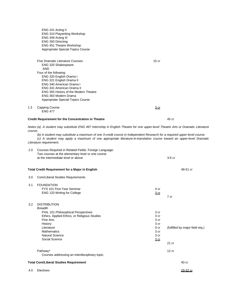|         | <b>ENG 310 Playwriting Workshop</b>                                                                                               |                 |                                 |
|---------|-----------------------------------------------------------------------------------------------------------------------------------|-----------------|---------------------------------|
|         | ENG 349 Acting III                                                                                                                |                 |                                 |
|         | ENG 350 Directing                                                                                                                 |                 |                                 |
|         | <b>ENG 451 Theatre Workshop</b>                                                                                                   |                 |                                 |
|         | Appropriate Special-Topics Course                                                                                                 |                 |                                 |
|         | Five Dramatic Literature Courses:                                                                                                 | $15$ cr         |                                 |
|         | ENG 325 Shakespeare                                                                                                               |                 |                                 |
|         | <b>AND</b>                                                                                                                        |                 |                                 |
|         | Four of the following:                                                                                                            |                 |                                 |
|         | ENG 320 English Drama I                                                                                                           |                 |                                 |
|         | ENG 321 English Drama II                                                                                                          |                 |                                 |
|         | ENG 340 American Drama I                                                                                                          |                 |                                 |
|         | <b>ENG 341 American Drama II</b><br>ENG 355 History of the Modern Theatre                                                         |                 |                                 |
|         | ENG 363 Modern Drama                                                                                                              |                 |                                 |
|         | Appropriate Special-Topics Course                                                                                                 |                 |                                 |
| 1.3     | <b>Capping Course</b>                                                                                                             | <u>3 cr</u>     |                                 |
|         | <b>ENG 477</b>                                                                                                                    |                 |                                 |
|         | <b>Credit Requirement for the Concentration in Theatre</b>                                                                        |                 | 45 cr                           |
|         | Notes: (a) A student may substitute ENG 497 Internship in English Theatre for one upper-level Theatre Arts or Dramatic Literature |                 |                                 |
| course. |                                                                                                                                   |                 |                                 |
|         | (b) A student may substitute a maximum of one 3-credit course in Independent Research for a required upper-level course.          |                 |                                 |
|         | (c) A student may apply a maximum of one appropriate literature-in-translation course toward an upper-level Dramatic              |                 |                                 |
|         | Literature requirement.                                                                                                           |                 |                                 |
| 2.0     | Courses Required in Related Fields: Foreign Language:                                                                             |                 |                                 |
|         | Two courses at the elementary level or one course                                                                                 |                 |                                 |
|         | at the intermediate level or above                                                                                                |                 | $3-6$ $cr$                      |
|         |                                                                                                                                   |                 |                                 |
|         | <b>Total Credit Requirement for a Major in English</b>                                                                            |                 | 48-51 cr                        |
| 3.0     | Core/Liberal Studies Requirements                                                                                                 |                 |                                 |
| 3.1     | <b>FOUNDATION</b>                                                                                                                 |                 |                                 |
|         | FYS 101 First Year Seminar                                                                                                        | 4 cr            |                                 |
|         | ENG 120 Writing for College                                                                                                       | 3 cr            |                                 |
|         |                                                                                                                                   |                 | 7 cr                            |
|         |                                                                                                                                   |                 |                                 |
| 3.2     | <b>DISTRIBUTION</b>                                                                                                               |                 |                                 |
|         | <b>Breadth</b>                                                                                                                    |                 |                                 |
|         | PHIL 101 Philosophical Perspectives                                                                                               | 3 cr            |                                 |
|         | Ethics, Applied Ethics, or Religious Studies<br>Fine Arts                                                                         | 3 cr<br>3 cr    |                                 |
|         | History                                                                                                                           | 3 cr            |                                 |
|         | Literature                                                                                                                        | 0 <sub>cr</sub> | (fulfilled by major field req.) |
|         | <b>Mathematics</b>                                                                                                                | 3 cr            |                                 |
|         | <b>Natural Science</b>                                                                                                            | 3 cr            |                                 |
|         | Social Science                                                                                                                    | 3 <sub>cr</sub> |                                 |
|         |                                                                                                                                   |                 | 21 cr                           |
|         | Pathway*                                                                                                                          |                 | 12 cr                           |
|         | Courses addressing an interdisciplinary topic.                                                                                    |                 |                                 |
|         | <b>Total Core/Liberal Studies Requirement</b>                                                                                     |                 | 40 cr                           |
| 4.0     | Electives                                                                                                                         |                 | 29-32 cr                        |

ENG 241 Acting II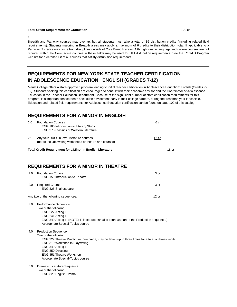#### **Total Credit Requirement for Graduation** 120 cr

\*

Breadth and Pathway courses may overlap, but all students must take a total of 36 distribution credits (including related field requirements). Students majoring in Breadth areas may apply a maximum of 6 credits to their distribution total. If applicable to a Pathway, 3 credits may come from disciplines outside of Core Breadth areas. Although foreign language and culture courses are not required within the Core, some courses in these fields may be used to fulfill distribution requirements. See the Core/LS Program website for a detailed list of all courses that satisfy distribution requirements.

# **REQUIREMENTS FOR NEW YORK STATE TEACHER CERTIFICATION IN ADOLESCENCE EDUCATION: ENGLISH (GRADES 7-12)**

Marist College offers a state-approved program leading to initial teacher certification in Adolescence Education: English (Grades 7- 12). Students seeking this certification are encouraged to consult with their academic advisor and the Coordinator of Adolescence Education in the Teacher Education Department. Because of the significant number of state certification requirements for this program, it is important that students seek such advisement early in their college careers, during the freshman year if possible. Education and related field requirements for Adolescence Education certification can be found on page 102 of this catalog.

## **REQUIREMENTS FOR A MINOR IN ENGLISH**

|     | <b>Total Credit Requirement for a Minor In English Literature</b>                                                           |              | 18 cr |
|-----|-----------------------------------------------------------------------------------------------------------------------------|--------------|-------|
| 2.0 | Any four 300-400 level literature courses<br>(not to include writing workshops or theatre arts courses)                     | <u>12 cr</u> |       |
| 1.0 | <b>Foundation Courses</b><br><b>ENG 180 Introduction to Literary Study</b><br><b>ENG 270 Classics of Western Literature</b> | 6 cr         |       |

## **REQUIREMENTS FOR A MINOR IN THEATRE**

| 1.0              | <b>Foundation Course</b><br>ENG 150 Introduction to Theatre                                                                                                                                                                                                                                                      | 3 <sub>cr</sub> |
|------------------|------------------------------------------------------------------------------------------------------------------------------------------------------------------------------------------------------------------------------------------------------------------------------------------------------------------|-----------------|
| 2.0              | <b>Required Course</b><br>ENG 325 Shakespeare                                                                                                                                                                                                                                                                    | 3 <sub>cr</sub> |
|                  | Any two of the following sequences:                                                                                                                                                                                                                                                                              | 12 cr           |
| 3.0 <sub>2</sub> | Performance Sequence<br>Two of the following:<br>ENG 227 Acting I<br>ENG 241 Acting II<br>ENG 349 Acting III (NOTE: This course can also count as part of the Production sequence.)<br>Appropriate Special-Topics course                                                                                         |                 |
| 4.0              | <b>Production Sequence</b><br>Two of the following:<br>ENG 229 Theatre Practicum (one credit, may be taken up to three times for a total of three credits)<br>ENG 310 Workshop in Playwriting<br>ENG 349 Acting III<br>ENG 350 Directing<br><b>ENG 451 Theatre Workshop</b><br>Appropriate Special-Topics course |                 |
| 5.0              | Dramatic Literature Sequence<br>Two of the following:<br>ENG 320 English Drama I                                                                                                                                                                                                                                 |                 |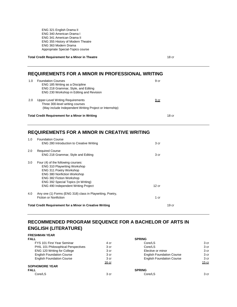ENG 321 English Drama II ENG 340 American Drama I ENG 341 American Drama II ENG 355 History of Modern Theatre ENG 363 Modern Drama Appropriate Special-Topics course

**Total Credit Requirement for a Minor in Theatre 18 cm and 18 cm and 18 cm and 18 cm and 18 cm and 18 cm and 18 cm and 18 cm and 18 cm and 18 cm and 18 cm and 18 cm and 18 cm and 18 cm and 18 cm and 18 cm and 18 cm and 18** 

# **REQUIREMENTS FOR A MINOR IN PROFESSIONAL WRITING**

| 1.0 | <b>Foundation Courses</b><br>ENG 185 Writing as a Discipline<br>ENG 218 Grammar, Style, and Editing<br>ENG 230 Workshop in Editing and Revision | 9 cr             |
|-----|-------------------------------------------------------------------------------------------------------------------------------------------------|------------------|
| 2.0 | <b>Upper-Level Writing Requirements</b><br>Three 300-level writing courses<br>(May include Independent Writing Project or Internship)           | <u>9 cr</u>      |
|     | <b>Total Credit Requirement for a Minor in Writing</b>                                                                                          | 18 <sub>cr</sub> |

## **REQUIREMENTS FOR A MINOR IN CREATIVE WRITING**

| 1.0 | <b>Foundation Course</b><br><b>ENG 280 Introduction to Creative Writing</b>                                                                                                                                                                                 | 3 cr  |                  |
|-----|-------------------------------------------------------------------------------------------------------------------------------------------------------------------------------------------------------------------------------------------------------------|-------|------------------|
| 2.0 | <b>Required Course</b><br>ENG 218 Grammar, Style and Editing                                                                                                                                                                                                | 3 cr  |                  |
| 3.0 | Four (4) of the following courses:<br><b>ENG 310 Playwriting Workshop</b><br>ENG 311 Poetry Workshop<br><b>ENG 380 Nonfiction Workshop</b><br><b>ENG 382 Fiction Workshop</b><br>ENG 392 Special Topics (in Writing)<br>ENG 490 Independent Writing Project | 12 cr |                  |
| 4.0 | Any one (1) Forms (ENG 318) class in Playwriting, Poetry,<br>Fiction or Nonfiction                                                                                                                                                                          | 1 cr  |                  |
|     | <b>Total Credit Requirement for a Minor in Creative Writing</b>                                                                                                                                                                                             |       | 19 <sub>cr</sub> |

# **RECOMMENDED PROGRAM SEQUENCE FOR A BACHELOR OF ARTS IN ENGLISH (LITERATURE)**

**FRESHMAN YEAR FALL SPRING** FYS 101 First Year Seminar 4 cr Core/LS 3 cr PHIL 101 Philosophical Perspectives ENG 120 Writing for College The Secret Secret Secret Secret Secret Secret Secret Secret Secret Secret Secret Secret Secret Secret Secret Secret Secret Secret Secret Secret Secret Secret Secret Secret Secret Secret Secret S English Foundation Course **3** cr and a series are series a creation Course 3 cr and English Foundation Course 3 cr<br>
S cr and English Foundation Course 3 cr and 3 cr and English Foundation Course 3 cr and 3 cr 3 cr **English Foundation Course** 3 cr 16 cr 20 and 20 and 20 and 20 and 20 and 20 and 20 and 20 and 20 and 20 and 20 and 20 and 20 and 20 and 20 and **SOPHOMORE YEAR FALL SPRING** Core/LS 3 cr Core/LS 3 cr Core/LS 3 cr core/LS 3 cr core/LS 3 cr core/LS 3 cr core/LS 3 cr core.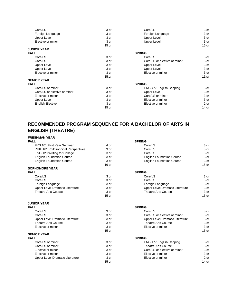| Core/LS                      | 3 cr         | Core/LS                      | 3 cr         |
|------------------------------|--------------|------------------------------|--------------|
| Foreign Language             | 3 cr         | Foreign Language             | 3 cr         |
| <b>Upper Level</b>           | 3 cr         | <b>Upper Level</b>           | 3 cr         |
| Elective or minor            | 3 cr         | <b>Upper Level</b>           | 3 cr         |
|                              | <u>15 cr</u> |                              | <u>15 cr</u> |
| <b>JUNIOR YEAR</b>           |              |                              |              |
| <b>FALL</b>                  |              | <b>SPRING</b>                |              |
| Core/LS                      | 3 cr         | Core/LS                      | 3 cr         |
| Core/LS                      | 3 cr         | Core/LS or elective or minor | 3 cr         |
| <b>Upper Level</b>           | 3 cr         | <b>Upper Level</b>           | 3 cr         |
| <b>Upper Level</b>           | 3 cr         | Upper Level                  | 3 cr         |
| Elective or minor            | 3 cr         | Elective or minor            | 3 cr         |
|                              | <u>15 cr</u> |                              | <u>15 cr</u> |
| <b>SENIOR YEAR</b>           |              |                              |              |
| <b>FALL</b>                  |              | <b>SPRING</b>                |              |
| Core/LS or minor             | 3 cr         | ENG 477 English Capping      | 3 cr         |
| Core/LS or elective or minor | 3 cr         | Upper Level                  | 3 cr         |
| Elective or minor            | 3 cr         | Core/LS or minor             | 3 cr         |
| Upper Level                  | 3 cr         | Elective or minor            | 3 cr         |
| <b>English Elective</b>      | 3 cr         | Elective or minor            | 2 cr         |
|                              | <u>15 cr</u> |                              | 14 cr        |
|                              |              |                              |              |

# **RECOMMENDED PROGRAM SEQUENCE FOR A BACHELOR OF ARTS IN ENGLISH (THEATRE)**

## **FRESHMAN YEAR**

| <b>FALL</b>                         |                  | <b>SPRING</b>                    |                 |
|-------------------------------------|------------------|----------------------------------|-----------------|
| FYS 101 First Year Seminar          | 4 cr             | Core/LS                          | 3 cr            |
| PHIL 101 Philosophical Perspectives | 3 <sub>cr</sub>  | Core/LS                          | 3 cr            |
| <b>ENG 120 Writing for College</b>  | 3 cr             | Core/LS                          | 3 cr            |
| <b>English Foundation Course</b>    | 3 <sub>cr</sub>  | <b>English Foundation Course</b> | 3 cr            |
| <b>English Foundation Course</b>    | 3 cr             | <b>English Foundation Course</b> | 3 cr            |
|                                     | 16 cr            |                                  | <u>15 cr</u>    |
| <b>SOPHOMORE YEAR</b>               |                  |                                  |                 |
| <b>FALL</b>                         |                  | <b>SPRING</b>                    |                 |
| Core/LS                             | 3 cr             | Core/LS                          | 3 cr            |
| Core/LS                             | 3 cr             | Core/LS                          | 3 cr            |
| Foreign Language                    | 3 cr             | Foreign Language                 | 3 cr            |
| Upper Level Dramatic Literature     | 3 cr             | Upper Level Dramatic Literature  | 3 cr            |
| <b>Theatre Arts Course</b>          | 3 cr             | <b>Theatre Arts Course</b>       | 3 cr            |
|                                     | $15$ cr          |                                  | 15 cr           |
| <b>JUNIOR YEAR</b>                  |                  |                                  |                 |
| <b>FALL</b>                         |                  | <b>SPRING</b>                    |                 |
| Core/LS                             | 3 <sub>cr</sub>  | Core/LS                          | 3 <sub>cr</sub> |
| Core/LS                             | 3 <sub>cr</sub>  | Core/LS or elective or minor     | 3 cr            |
| Upper Level Dramatic Literature     | 3 <sub>cr</sub>  | Upper Level Dramatic Literature  | 3 cr            |
| <b>Theatre Arts Course</b>          | 3 cr             | <b>Theatre Arts Course</b>       | 3 cr            |
| Elective or minor                   | 3 cr             | Elective or minor                | 3 cr            |
|                                     | <u>15 cr</u>     |                                  | <u>15 cr</u>    |
| <b>SENIOR YEAR</b>                  |                  |                                  |                 |
| <b>FALL</b>                         |                  | <b>SPRING</b>                    |                 |
| Core/LS or minor                    | 3 cr             | ENG 477 English Capping          | 3 cr            |
| Core/LS or minor                    | 3 cr             | <b>Theatre Arts Course</b>       | 3 cr            |
| Elective or minor                   | 3 cr             | Core/LS or elective or minor     | 3 cr            |
| Elective or minor                   | 3 cr             | Elective or minor                | 3 cr            |
| Upper Level Dramatic Literature     | 3 cr             | Elective or minor                | 2 cr            |
|                                     | 15 <sub>cr</sub> |                                  | 14 cr           |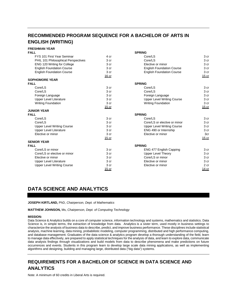# **RECOMMENDED PROGRAM SEQUENCE FOR A BACHELOR OF ARTS IN ENGLISH (WRITING)**

#### **FRESHMAN YEAR FALL SPRING**

| FYS 101 First Year Seminar          | 4 cr            | Core/LS                           | 3 cr            |
|-------------------------------------|-----------------|-----------------------------------|-----------------|
| PHIL 101 Philosophical Perspectives | 3 cr            | Core/LS                           | 3 cr            |
| <b>ENG 120 Writing for College</b>  | 3 cr            | Elective or minor                 | 3 cr            |
| <b>English Foundation Course</b>    | 3 cr            | <b>English Foundation Course</b>  | 3 cr            |
| <b>English Foundation Course</b>    | 3 cr            | <b>English Foundation Course</b>  | 3 cr            |
|                                     | <u>16 cr</u>    |                                   | 15 cr           |
| <b>SOPHOMORE YEAR</b>               |                 |                                   |                 |
| <b>FALL</b>                         |                 | <b>SPRING</b>                     |                 |
| Core/LS                             | 3 cr            | Core/LS                           | 3 cr            |
| Core/LS                             | 3 cr            | Core/LS                           | 3 cr            |
| Foreign Language                    | 3 <sub>cr</sub> | Foreign Language                  | 3 cr            |
| Upper Level Literature              | 3 cr            | <b>Upper Level Writing Course</b> | 3 cr            |
| <b>Writing Foundation</b>           | 3 cr            | <b>Writing Foundation</b>         | 3 cr            |
|                                     | $15$ cr         |                                   | $15$ cr         |
| <b>JUNIOR YEAR</b>                  |                 |                                   |                 |
| <b>FALL</b>                         |                 | <b>SPRING</b>                     |                 |
| Core/LS                             | 3 cr            | Core/LS                           | 3 cr            |
| Core/LS                             | 3 cr            | Core/LS or elective or minor      | 3 cr            |
| <b>Upper Level Writing Course</b>   | 3 cr            | <b>Upper Level Writing Course</b> | 3 cr            |
| <b>Upper Level Literature</b>       | 3 cr            | ENG 490 or Internship             | 3 cr            |
| Elective or minor                   | 3 cr            | Elective or minor                 | 3cr             |
|                                     | <u>15 cr</u>    |                                   | $15$ cr         |
| <b>SENIOR YEAR</b>                  |                 |                                   |                 |
| <b>FALL</b>                         |                 | <b>SPRING</b>                     |                 |
| Core/LS or minor                    | 3 cr            | <b>ENG 477 English Capping</b>    | 3 cr            |
| Core/LS or elective or minor        | 3 cr            | <b>Upper Level Theory</b>         | 3 cr            |
| Elective or minor                   | 3 cr            | Core/LS or minor                  | 3 cr            |
| <b>Upper Level Literature</b>       | 3 cr            | Elective or minor                 | 3 cr            |
| <b>Upper Level Writing Course</b>   | 3 cr            | Elective or minor                 | 2 <sub>cr</sub> |
|                                     | <u>15 cr</u>    |                                   | <u>14 cr</u>    |

# **DATA SCIENCE AND ANALYTICS**

#### **JOSEPH KIRTLAND,** PhD, *Chairperson, Dept. of Mathematics*

**MATTHEW JOHNSON,** Ms, *Chairperson, Dept. of Computing Technology*

#### **MISSION:**

Data Science & Analytics builds on a core of computer science, information technology and systems, mathematics and statistics. Data Science is, in simple terms, the extraction of knowledge from data. Analytics is a sister term, used mostly in business settings to characterize the analysis of business data to describe, predict, and improve business performance. These disciplines include statistical analysis, machine learning, data mining, probabilistic modeling, computer programming, distributed and high performance computing, and database management. Graduates of the data science & analytics program develop a thorough understanding of the field, learn to manage data effectively, are prepared to apply statistical techniques for the analysis of data, and learn to explore data, communicate data analysis findings through visualizations and build models from data to describe phenomena and make predictions on future occurrences and events. Students in this program learn to develop large scale data mining applications, as well as implementing algorithms and designing, building and managing large, distributed data ("big data") systems.

# **REQUIREMENTS FOR A BACHELOR OF SCIENCE IN DATA SCIENCE AND ANALYTICS**

Note: A minimum of 60 credits in Liberal Arts is required.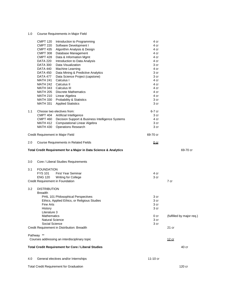## 1.0 Course Requirements in Major Field

|     | <b>CMPT 120</b><br><b>CMPT 220</b><br><b>CMPT 435</b><br><b>CMPT 308</b><br>CMPT 428<br>DATA 220<br>DATA 300<br>DATA 440<br>DATA 450<br>DATA 477<br>MATH 241<br>MATH 242<br>MATH 343<br>MATH 205<br>MATH 210<br>MATH 330<br>MATH 331 | Introduction to Programming<br>Software Development I<br>Algorithm Analysis & Design<br>Database Management<br>Data & Information Mgmt<br>Introduction to Data Analysis<br>Data Visualization<br>Machine Learning<br>Data Mining & Predictive Analytics<br>Data Science Project (capstone)<br>Calculus I<br>Calculus II<br>Calculus III<br><b>Discrete Mathematics</b><br>Linear Algebra<br><b>Probability &amp; Statistics</b><br><b>Applied Statistics</b> | 4 cr<br>4 cr<br>4 cr<br>4 cr<br>4 cr<br>4 cr<br>3 cr<br>4 cr<br>3 cr<br>3 cr<br>4 cr<br>4 cr<br>4 cr<br>4 cr<br>4 cr<br>3 cr<br>3 cr |                           |
|-----|--------------------------------------------------------------------------------------------------------------------------------------------------------------------------------------------------------------------------------------|--------------------------------------------------------------------------------------------------------------------------------------------------------------------------------------------------------------------------------------------------------------------------------------------------------------------------------------------------------------------------------------------------------------------------------------------------------------|--------------------------------------------------------------------------------------------------------------------------------------|---------------------------|
| 1.1 | MATH 430                                                                                                                                                                                                                             | Choose two electives from:<br>CMPT 404 Artificial Intelligence<br>CMPT 460 Decision Support & Business Intelligence Systems<br>MATH 412 Computational Linear Algebra<br><b>Operations Research</b>                                                                                                                                                                                                                                                           | 6-7 cr<br>3 cr<br>4 cr<br>3 cr<br>3 cr                                                                                               |                           |
|     |                                                                                                                                                                                                                                      | Credit Requirement in Major Field                                                                                                                                                                                                                                                                                                                                                                                                                            | 69-70 cr                                                                                                                             |                           |
| 2.0 |                                                                                                                                                                                                                                      | Course Requirements in Related Fields                                                                                                                                                                                                                                                                                                                                                                                                                        | 0 cr                                                                                                                                 |                           |
|     |                                                                                                                                                                                                                                      | Total Credit Requirement for a Major in Data Science & Analytics                                                                                                                                                                                                                                                                                                                                                                                             |                                                                                                                                      | 69-70 cr                  |
| 3.0 |                                                                                                                                                                                                                                      | Core / Liberal Studies Requirements                                                                                                                                                                                                                                                                                                                                                                                                                          |                                                                                                                                      |                           |
| 3.1 | <b>FOUNDATION</b><br><b>FYS 101</b><br><b>ENG 120</b>                                                                                                                                                                                | <b>First Year Seminar</b><br><b>Writing for College</b><br>Credit Requirement in Foundation                                                                                                                                                                                                                                                                                                                                                                  | 4 cr<br>3 cr                                                                                                                         | 7 cr                      |
| 3.2 | <b>DISTRIBUTION</b><br><b>Breadth</b><br>Fine Arts<br>History<br>Literature 3<br>Mathematics<br>Natural Science<br>Social Science                                                                                                    | PHIL 101 Philosophical Perspectives<br>Ethics, Applied Ethics, or Religious Studies                                                                                                                                                                                                                                                                                                                                                                          | 3 cr<br>3 cr<br>3 cr<br>3 cr<br>0 <sub>cr</sub><br>3 cr<br>3 cr                                                                      | (fulfilled by major req.) |
|     |                                                                                                                                                                                                                                      | Credit Requirement in Distribution: Breadth                                                                                                                                                                                                                                                                                                                                                                                                                  |                                                                                                                                      | 21 cr                     |
|     | Pathway **                                                                                                                                                                                                                           | Courses addressing an interdisciplinary topic                                                                                                                                                                                                                                                                                                                                                                                                                |                                                                                                                                      | <u>12 cr</u>              |
|     |                                                                                                                                                                                                                                      | <b>Total Credit Requirement for Core / Liberal Studies</b>                                                                                                                                                                                                                                                                                                                                                                                                   |                                                                                                                                      | 40 cr                     |
| 4.0 |                                                                                                                                                                                                                                      | General electives and/or Internships                                                                                                                                                                                                                                                                                                                                                                                                                         | 11-10 cr                                                                                                                             |                           |
|     |                                                                                                                                                                                                                                      | <b>Total Credit Requirement for Graduation</b>                                                                                                                                                                                                                                                                                                                                                                                                               |                                                                                                                                      | 120 cr                    |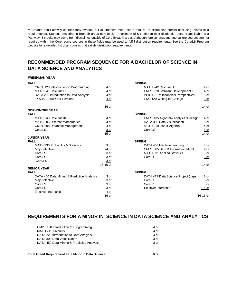\*\* Breadth and Pathway courses may overlap, but all students must take a total of 36 distribution credits (including related field requirements). Students majoring in Breadth areas may apply a maximum of 6 credits to their distribution total. If applicable to a Pathway, 3 credits may come from disciplines outside of Core Breadth areas. Although foreign language and culture courses are not required within the Core, some courses in these fields may be used to fulfill distribution requirements. See the Core/LS Program website for a detailed list of all courses that satisfy distribution requirements.

# **RECOMMENDED PROGRAM SEQUENCE FOR A BACHELOR OF SCIENCE IN DATA SCIENCE AND ANALYTICS**

#### **FRESHMAN YEAR**

| <b>FALL</b>                                 |                  | <b>SPRING</b>                        |                  |
|---------------------------------------------|------------------|--------------------------------------|------------------|
| CMPT 120 Introduction to Programming        | 4 cr             | MATH 242 Calculus II                 | 4 cr             |
| MATH 241 Calculus I                         | 4 cr             | CMPT 220 Software Development I      | 4 cr             |
| DATA 220 Introduction to Data Analysis      | 4 cr             | PHIL 101 Philosophical Perspectives  | 3 cr             |
| FYS 101 First-Year Seminar                  | $4$ cr           | ENG 120 Writing for College          | 3 <sub>cr</sub>  |
|                                             | 16 <sub>cr</sub> |                                      | 14 <sub>cr</sub> |
| <b>SOPHOMORE YEAR</b>                       |                  |                                      |                  |
| <b>FALL</b>                                 |                  | <b>SPRING</b>                        |                  |
| MATH 243 Calculus III                       | 4 cr             | CMPT 435 Algorithm Analysis & Design | 4 cr             |
| <b>MATH 205 Discrete Mathematics</b>        | 4 cr             | DATA 300 Data Visualization          | 3 <sub>cr</sub>  |
| CMPT 308 Database Management                | 4 cr             | MATH 210 Linear Algebra              | 4 cr             |
| Core/LS                                     | 3 cr             | Core/LS                              | <u>3 cr</u>      |
|                                             | 15 <sub>cr</sub> |                                      | 14 <sub>cr</sub> |
| <b>JUNIOR YEAR</b>                          |                  |                                      |                  |
| <b>FALL</b>                                 |                  | <b>SPRING</b>                        |                  |
| MATH 330 Probability & Statistics           | 3 <sub>cr</sub>  | DATA 450 Machine Learning            | 4 cr             |
| Major elective                              | $3-4$ cr         | CMPT 305 Data & Information Mgmt     | 4 cr             |
| Core/LS                                     | 3 <sub>cr</sub>  | MATH 331 Applied Statistics          | 3 cr             |
| Core/LS                                     | 3 <sub>cr</sub>  | Core/LS                              | 3 <sub>cr</sub>  |
| Core/LS                                     | 3 cr             |                                      |                  |
|                                             | 15-16 cr         |                                      | 14 <sub>cr</sub> |
| <b>SENIOR YEAR</b>                          |                  |                                      |                  |
| <b>FALL</b>                                 |                  | <b>SPRING</b>                        |                  |
| DATA 450 Data Mining & Predictive Analytics | 3 <sub>cr</sub>  | DATA 477 Data Science Project (caps) | 3 cr             |
| Major elective                              | 3 cr             | Core/LS                              | 3 cr             |
| Core/LS                                     | 3 <sub>cr</sub>  | Core/LS                              | 3 <sub>cr</sub>  |
| Core/LS                                     | 3 cr             | Elective/ Internship                 | 7-6 cr           |
| Elective/ Internship                        | 4 <sub>cr</sub>  |                                      |                  |
|                                             | 16 <sub>cr</sub> |                                      | 16-15 cr         |
|                                             |                  |                                      |                  |

## **REQUIREMENTS FOR A MINOR IN SCIENCE IN DATA SCIENCE AND ANALYTICS**

| CMPT 120 Introduction to Programming                        | 4 cr            |
|-------------------------------------------------------------|-----------------|
| MATH 241 Calculus I                                         | 4 cr            |
| DATA 220 Introduction to Data Analysis                      | 4 cr            |
| DATA 300 Data Visualization                                 | 3 <sub>cr</sub> |
| DATA 450 Data Mining & Predictive Analytics                 | 3 <sub>cr</sub> |
| <b>Total Credit Requirement for a Minor in Data Science</b> | 18 cr           |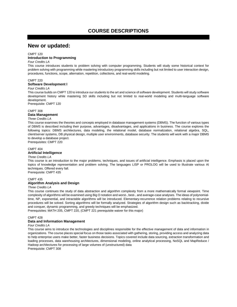# **COURSE DESCRIPTIONS**

# **New or updated:**

#### CMPT 120

#### **Introduction to Programming**

#### *Four Credits LA*

This course introduces students to problem solving with computer programming. Students will study some historical context for problem solving with programming while mastering introductory programming skills including but not limited to user interaction design, procedures, functions, scope, alternation, repetition, collections, and real-world modeling.

#### CMPT 220 **Software Development I**

#### *Four Credits LA*

This course builds on CMPT 120 to introduce our students to the art and science of software development. Students will study software development history while mastering SD skills including but not limited to real-world modeling and multi-language software development.

Prerequisite: CMPT 120

#### CMPT 308

#### **Data Management**

#### *Three Credits LA*

This course examines the theories and concepts employed in database management systems (DBMS). The function of various types of DBMS is described including their purpose, advantages, disadvantages, and applications in business. The course explores the following topics: DBMS architectures, data modeling, the relational model, database normalization, relational algebra, SQL, client/server systems, DB physical design, multiple user environments, database security. The students will work with a major DBMS to develop a database project. Prerequisites: CMPT 220

#### CMPT 404

## **Artificial Intelligence**

#### *Three Credits LA*

This course is an introduction to the major problems, techniques, and issues of artificial intelligence. Emphasis is placed upon the topics of knowledge representation and problem solving. The languages LISP or PROLOG will be used to illustrate various AI techniques. Offered every fall.

Prerequisite: CMPT 435

#### CMPT 435

#### **Algorithm Analysis and Design**

#### *Three Credits LA*

This course continues the study of data abstraction and algorithm complexity from a more mathematically formal viewpoint. Time complexity of algorithms will be examined using Big O notation and worst-, best-, and average-case analyses. The ideas of polynomialtime, NP, exponential, and intractable algorithms will be introduced. Elementary-recurrence relation problems relating to recursive procedures will be solved. Sorting algorithms will be formally analyzed. Strategies of algorithm design such as backtracking, divide and conquer, dynamic programming, and greedy techniques will be emphasized.

Prerequisites: MATH 205, CMPT 220, (CMPT 221 prerequisite waiver for this major)

#### CMPT 428

#### **Data and Information Management**

#### *Four Credits LA*

This course aims to introduce the technologies and disciplines responsible for the effective management of data and information in organizations. The course places special focus on those tasks associated with gathering, storing, providing access and analyzing data to help enterprise users make better, faster business decisions. Topics covered include data sourcing, extraction transformation and loading processes, data warehousing architectures, dimensional modeling, online analytical processing, NoSQL and MapReduce / Hadoop architectures for processing of large volumes of (unstructured) data Prerequisite: CMPT 308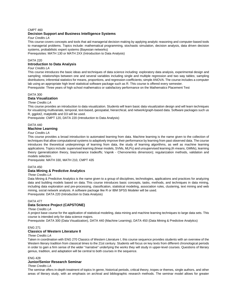#### CMPT 460 **Decision Support and Business Intelligence Systems**

*Four Credits LA*

This course covers concepts and tools that aid managerial decision making by applying analytic reasoning and computer-based tools to managerial problems. Topics include: mathematical programming, stochastic simulation, decision analysis, data driven decision systems, probabilistic expert systems (Bayesian networks)

Prerequisites: MATH 130 or MATH 2XX (Introduction to Data Analysis)

#### DATA 220

#### **Introduction to Data Analysis**

#### *Four Credits LA*

This course introduces the basic ideas and techniques of data science including: exploratory data analysis, experimental design and sampling; relationships between one and several variables including single and multiple regression and two way tables; sampling distributions; inferential statistics for means, proportions, and regression coefficients; simple ANOVA. The course includes a computer lab using an appropriate high level statistical software package such as R. This course is offered every semester.

Prerequisite: Three years of high school mathematics or satisfactory performance on the Mathematics Placement Test

#### DATA 300 **Data Visualization**

#### *Three Credits LA*

This course provides an introduction to data visualization. Students will learn basic data visualization design and will learn techniques for visualizing multivariate, temporal, text-based, geospatial, hierarchical, and network/graph-based data. Software packages such us R, ggplot2, matplotlib and D3 will be used.

Prerequisite: CMPT 120, DATA 220 (Introduction to Data Analysis)

#### DATA 440 **Machine Learning**

#### *Four Credits LA*

This course provides a broad introduction to automated learning from data. Machine learning is the name given to the collection of techniques that allow computational systems to adaptively improve their performance by learning from past observed data. The course introduces the theoretical underpinnings of learning from data, the study of learning algorithms, as well as machine learning applications. Topics include: supervised learning (linear models, SVMs, MLPs) and unsupervised learning (K-means, GMMs), learning theory (generalization theory, bias/variance tradeoffs; Vapnik - Chervonenkis dimension); regularization methods, validation and models selection.

Prerequisite: MATH 330, MATH 210, CMPT 435

#### DATA 450

#### **Data Mining & Predictive Analytics**

#### *Three Credits LA*

Data Mining & Predictive Analytics is the name given to a group of disciplines, technologies, applications and practices for analyzing data and building models based on data. This course introduces basic concepts, tasks, methods, and techniques in data mining, including data exploration and pre-processing, classification, statistical modeling, association rules, clustering, text mining and web mining, social network analysis. A software package like R or IBM SPSS Modeler will be used. Prerequisite: DATA 220 (Introduction to Data Analysis)

## DATA 477 **Data Science Project (CAPSTONE)**

#### *Three Credits LA*

A project base course for the application of statistical modeling, data mining and machine learning techniques to large data sets. This course is intended only for data science majors.

Prerequisite: DATA 300 (Data Visualization), DATA 440 (Machine Learning), DATA 450 (Data Mining & Predictive Analytics)

#### ENG 271

#### **Classics of Western Literature II**

#### *Three Credits LA*

Taken in coordination with ENG 270 Classics of Western Literature I, this course sequence provides students with an overview of the Western literary tradition from classical times to the 21st century. Students will focus on key texts from different chronological periods in order to gain a firm sense of the wider "narrative" underlying the works they will study in upper-level courses. Questions of literary genius, tradition, and adaptation will be central to both courses in the sequence.

#### ENG 428

#### **Junior/Senior Research Seminar**

#### *Three Credits LA*

The seminar offers in-depth treatment of topics In genre, historical periods, critical theory, tropes or themes, single authors, and other areas of literary study, with an emphasis on archival and bibliographic research methods. The seminar model allows for greater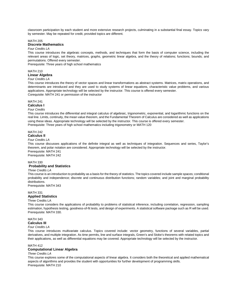classroom participation by each student and more extensive research projects, culminating in a substantial final essay. Topics vary by semester. May be repeated for credit, provided topics are different.

#### MATH 205

#### **Discrete Mathematics**

## *Four Credits LA*

This course introduces the algebraic concepts, methods, and techniques that form the basis of computer science, including the relevant areas of logic, set theory, matrices, graphs, geometric linear algebra, and the theory of relations; functions; bounds; and permutations. Offered every semester.

Prerequisite: Three years of high school mathematics

#### MATH 210 **Linear Algebra**

#### *Four Credits LA*

This course introduces the theory of vector spaces and linear transformations as abstract systems. Matrices, matrix operations, and determinants are introduced and they are used to study systems of linear equations, characteristic value problems, and various applications. Appropriate technology will be selected by the instructor. This course is offered every semester.

Corequisite: MATH 241 or permission of the instructor

#### MATH 241

## **Calculus I**

#### *Four Credits*

This course introduces the differential and integral calculus of algebraic, trigonometric, exponential, and logarithmic functions on the real line. Limits, continuity, the mean value theorem, and the Fundamental Theorem of Calculus are considered as well as applications using these ideas. Appropriate technology will be selected by the instructor. This course is offered every semester. Prerequisite: Three years of high school mathematics including trigonometry or MATH 120

#### MATH 242 **Calculus II**

#### *Four Credits LA*

This course discusses applications of the definite integral as well as techniques of integration. Sequences and series, Taylor's theorem, and polar notation are considered. Appropriate technology will be selected by the instructor. Prerequisite: MATH 241

Prerequisite: MATH 242

#### MATH 330

#### **Probability and Statistics**

#### *Three Credits LA*

This course is an introduction to probability as a basis for the theory of statistics. The topics covered include sample spaces; conditional probability and independence; discrete and continuous distribution functions; random variables; and joint and marginal probability distributions.

Prerequisite: MATH 343

#### MATH 331

## **Applied Statistics**

#### Three Credits LA

This course considers the applications of probability to problems of statistical inference, including correlation, regression, sampling estimation, hypothesis testing, goodness-of-fit tests, and design of experiments. A statistical software package such as R will be used. Prerequisite: MATH 330.

## MATH 343

## **Calculus III**

## *Four Credits LA*

This course introduces multivariate calculus. Topics covered include: vector geometry, functions of several variables, partial derivatives, and multiple integration. As time permits, line and surface integrals, Green's and Stoke's theorems with related topics and their applications, as well as differential equations may be covered. Appropriate technology will be selected by the instructor.

#### MATH 412

#### **Computational Linear Algebra**

#### *Three Credits LA*

This course explores some of the computational aspects of linear algebra. It considers both the theoretical and applied mathematical aspects of algorithms and provides the student with opportunities for further development of programming skills. Prerequisite: MATH 210